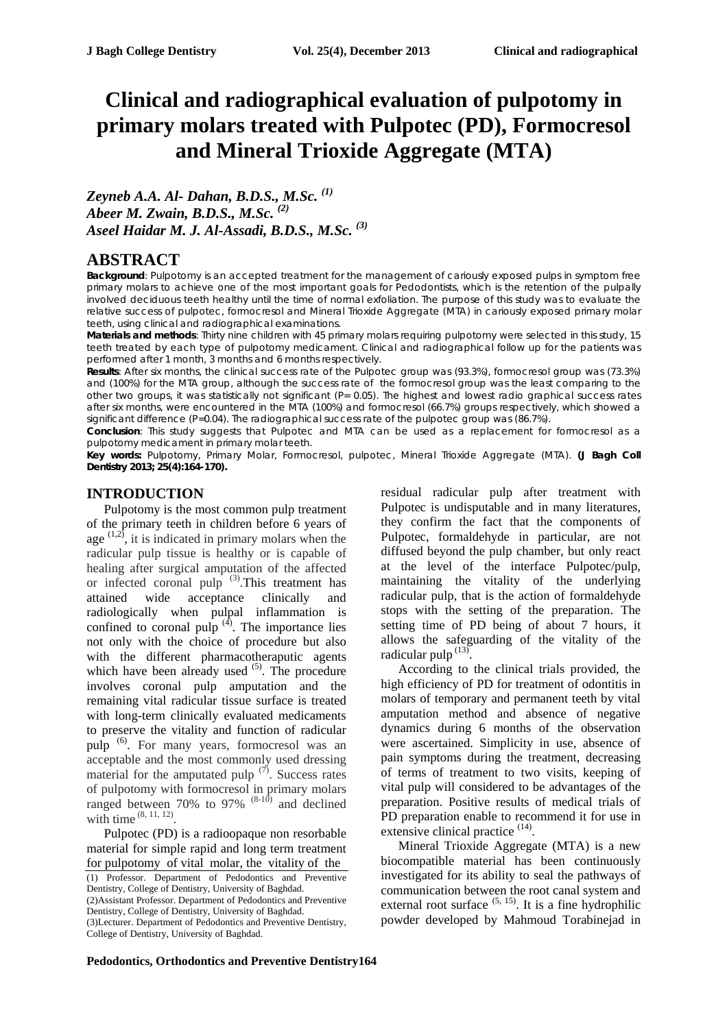# **Clinical and radiographical evaluation of pulpotomy in primary molars treated with Pulpotec (PD), Formocresol and Mineral Trioxide Aggregate (MTA)**

*Zeyneb A.A. Al- Dahan, B.D.S., M.Sc. (1) Abeer M. Zwain, B.D.S., M.Sc. (2) Aseel Haidar M. J. Al-Assadi, B.D.S., M.Sc. (3)*

# **ABSTRACT**

**Background**: Pulpotomy is an accepted treatment for the management of cariously exposed pulps in symptom free primary molars to achieve one of the most important goals for Pedodontists, which is the retention of the pulpally involved deciduous teeth healthy until the time of normal exfoliation. The purpose of this study was to evaluate the relative success of pulpotec, formocresol and Mineral Trioxide Aggregate (MTA) in cariously exposed primary molar teeth, using clinical and radiographical examinations.

**Materials and methods**: Thirty nine children with 45 primary molars requiring pulpotomy were selected in this study, 15 teeth treated by each type of pulpotomy medicament. Clinical and radiographical follow up for the patients was performed after 1 month, 3 months and 6 months respectively.

**Results**: After six months, the clinical success rate of the Pulpotec group was (93.3%), formocresol group was (73.3%) and (100%) for the MTA group, although the success rate of the formocresol group was the least comparing to the other two groups, it was statistically not significant (P= 0.05). The highest and lowest radio graphical success rates after six months, were encountered in the MTA (100%) and formocresol (66.7%) groups respectively, which showed a significant difference (P=0.04). The radiographical success rate of the pulpotec group was (86.7%).

**Conclusion**: This study suggests that Pulpotec and MTA can be used as a replacement for formocresol as a pulpotomy medicament in primary molar teeth.

**Key words:** Pulpotomy, Primary Molar, Formocresol, pulpotec, Mineral Trioxide Aggregate (MTA). **(J Bagh Coll Dentistry 2013; 25(4):164-170).**

## **INTRODUCTION**

Pulpotomy is the most common pulp treatment of the primary teeth in children before 6 years of age  $(1,2)$ , it is indicated in primary molars when the radicular pulp tissue is healthy or is capable of healing after surgical amputation of the affected or infected coronal pulp  $^{(3)}$ . This treatment has attained wide acceptance clinically and radiologically when pulpal inflammation is confined to coronal pulp  $(4)$ . The importance lies not only with the choice of procedure but also with the different pharmacotheraputic agents which have been already used  $(5)$ . The procedure involves coronal pulp amputation and the remaining vital radicular tissue surface is treated with long-term clinically evaluated medicaments to preserve the vitality and function of radicular pulp <sup>(6)</sup>. For many years, formocresol was an acceptable and the most commonly used dressing material for the amputated pulp  $(7)$ . Success rates of pulpotomy with formocresol in primary molars ranged between 70% to 97%  $(8-10)$  and declined with time  $(8, 11, 12)$ .

Pulpotec (PD) is a radioopaque non resorbable material for simple rapid and long term treatment for pulpotomy of vital molar, the vitality of the (1) Professor. Department of Pedodontics and Preventive Dentistry, College of Dentistry, University of Baghdad. (2)Assistant Professor. Department of Pedodontics and Preventive Dentistry, College of Dentistry, University of Baghdad. (3)Lecturer. Department of Pedodontics and Preventive Dentistry, College of Dentistry, University of Baghdad.

residual radicular pulp after treatment with Pulpotec is undisputable and in many literatures, they confirm the fact that the components of Pulpotec, formaldehyde in particular, are not diffused beyond the pulp chamber, but only react at the level of the interface Pulpotec/pulp, maintaining the vitality of the underlying radicular pulp, that is the action of formaldehyde stops with the setting of the preparation. The setting time of PD being of about 7 hours, it allows the safeguarding of the vitality of the radicular pulp<sup>(13</sup>) .

According to the clinical trials provided, the high efficiency of PD for treatment of odontitis in molars of temporary and permanent teeth by vital amputation method and absence of negative dynamics during 6 months of the observation were ascertained. Simplicity in use, absence of pain symptoms during the treatment, decreasing of terms of treatment to two visits, keeping of vital pulp will considered to be advantages of the preparation. Positive results of medical trials of PD preparation enable to recommend it for use in extensive clinical practice<sup>(14)</sup>.

Mineral Trioxide Aggregate (MTA) is a new biocompatible material has been continuously investigated for its ability to seal the pathways of communication between the root canal system and external root surface  $(5, 15)$ . It is a fine hydrophilic powder developed by Mahmoud Torabinejad in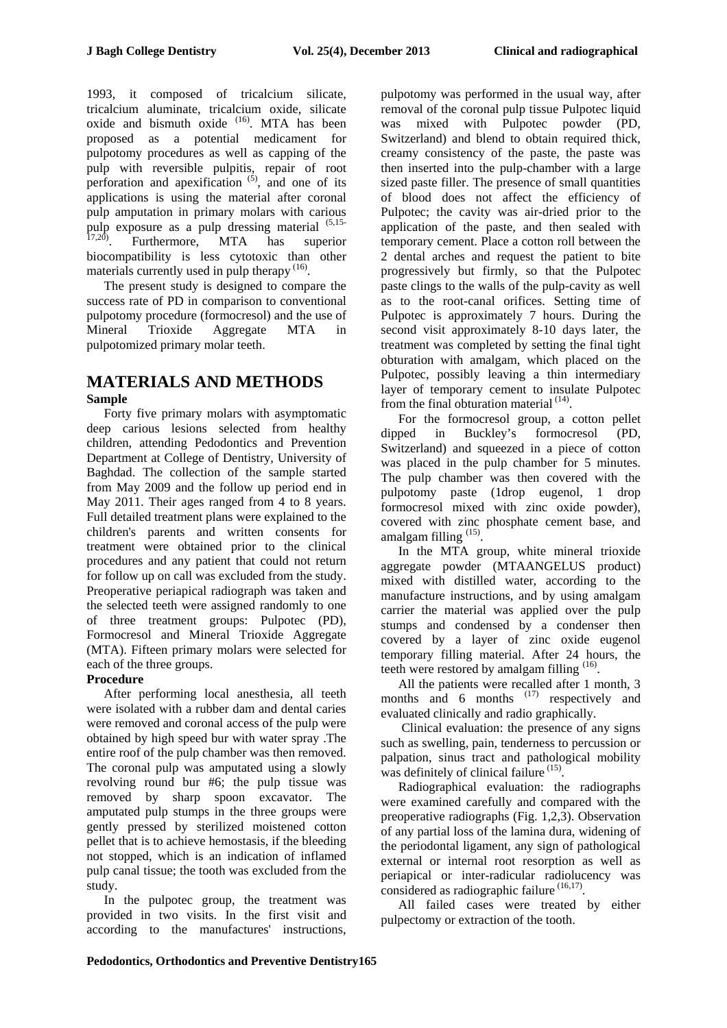1993, it composed of tricalcium silicate, tricalcium aluminate, tricalcium oxide, silicate oxide and bismuth oxide  $(16)$ . MTA has been proposed as a potential medicament for pulpotomy procedures as well as capping of the pulp with reversible pulpitis, repair of root perforation and apexification  $(5)$ , and one of its applications is using the material after coronal pulp amputation in primary molars with carious pulp exposure as a pulp dressing material <sup>(5,15-17,20</sup>). Furthermore, MTA has superior biocompatibility is less cytotoxic than other materials currently used in pulp therapy  $(16)$ .

The present study is designed to compare the success rate of PD in comparison to conventional pulpotomy procedure (formocresol) and the use of Mineral Trioxide Aggregate MTA in pulpotomized primary molar teeth.

#### **MATERIALS AND METHODS Sample**

Forty five primary molars with asymptomatic deep carious lesions selected from healthy children, attending Pedodontics and Prevention Department at College of Dentistry, University of Baghdad. The collection of the sample started from May 2009 and the follow up period end in May 2011. Their ages ranged from 4 to 8 years. Full detailed treatment plans were explained to the children's parents and written consents for treatment were obtained prior to the clinical procedures and any patient that could not return for follow up on call was excluded from the study. Preoperative periapical radiograph was taken and the selected teeth were assigned randomly to one of three treatment groups: Pulpotec (PD), Formocresol and Mineral Trioxide Aggregate (MTA). Fifteen primary molars were selected for each of the three groups.

### **Procedure**

After performing local anesthesia, all teeth were isolated with a rubber dam and dental caries were removed and coronal access of the pulp were obtained by high speed bur with water spray .The entire roof of the pulp chamber was then removed. The coronal pulp was amputated using a slowly revolving round bur #6; the pulp tissue was removed by sharp spoon excavator. The amputated pulp stumps in the three groups were gently pressed by sterilized moistened cotton pellet that is to achieve hemostasis, if the bleeding not stopped, which is an indication of inflamed pulp canal tissue; the tooth was excluded from the study.

In the pulpotec group, the treatment was provided in two visits. In the first visit and according to the manufactures' instructions, pulpotomy was performed in the usual way, after removal of the coronal pulp tissue Pulpotec liquid was mixed with Pulpotec powder (PD, Switzerland) and blend to obtain required thick, creamy consistency of the paste, the paste was then inserted into the pulp-chamber with a large sized paste filler. The presence of small quantities of blood does not affect the efficiency of Pulpotec; the cavity was air-dried prior to the application of the paste, and then sealed with temporary cement. Place a cotton roll between the 2 dental arches and request the patient to bite progressively but firmly, so that the Pulpotec paste clings to the walls of the pulp-cavity as well as to the root-canal orifices. Setting time of Pulpotec is approximately 7 hours. During the second visit approximately 8-10 days later, the treatment was completed by setting the final tight obturation with amalgam, which placed on the Pulpotec, possibly leaving a thin intermediary layer of temporary cement to insulate Pulpotec from the final obturation material  $(14)$ .

For the formocresol group, a cotton pellet dipped in Buckley's formocresol (PD, Switzerland) and squeezed in a piece of cotton was placed in the pulp chamber for 5 minutes. The pulp chamber was then covered with the pulpotomy paste (1drop eugenol, 1 drop formocresol mixed with zinc oxide powder), covered with zinc phosphate cement base, and amalgam filling <sup>(15)</sup>.

In the MTA group, white mineral trioxide aggregate powder (MTAANGELUS product) mixed with distilled water, according to the manufacture instructions, and by using amalgam carrier the material was applied over the pulp stumps and condensed by a condenser then covered by a layer of zinc oxide eugenol temporary filling material. After 24 hours, the teeth were restored by amalgam filling  $(16)$ .

All the patients were recalled after 1 month, 3 months and  $\overline{6}$  months  $^{(17)}$  respectively and evaluated clinically and radio graphically.

 Clinical evaluation: the presence of any signs such as swelling, pain, tenderness to percussion or palpation, sinus tract and pathological mobility was definitely of clinical failure  $(15)$ .

Radiographical evaluation: the radiographs were examined carefully and compared with the preoperative radiographs (Fig. 1,2,3). Observation of any partial loss of the lamina dura, widening of the periodontal ligament, any sign of pathological external or internal root resorption as well as periapical or inter-radicular radiolucency was considered as radiographic failure  $(16,17)$ .

All failed cases were treated by either pulpectomy or extraction of the tooth.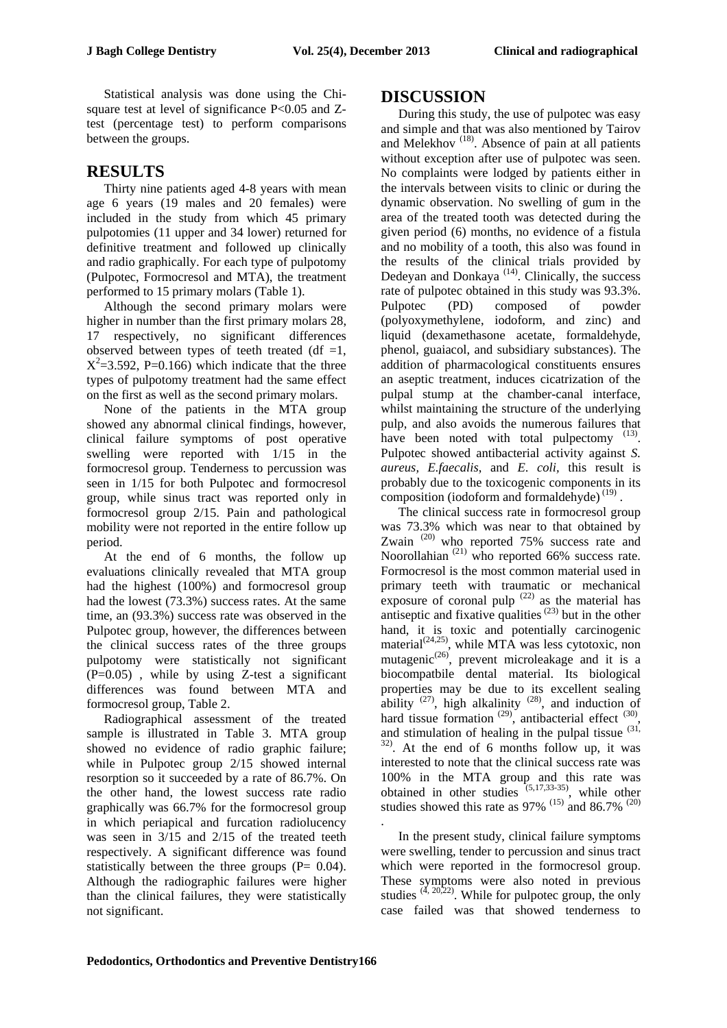Statistical analysis was done using the Chisquare test at level of significance P<0.05 and Ztest (percentage test) to perform comparisons between the groups.

# **RESULTS**

Thirty nine patients aged 4-8 years with mean age 6 years (19 males and 20 females) were included in the study from which 45 primary pulpotomies (11 upper and 34 lower) returned for definitive treatment and followed up clinically and radio graphically. For each type of pulpotomy (Pulpotec, Formocresol and MTA), the treatment performed to 15 primary molars (Table 1).

Although the second primary molars were higher in number than the first primary molars 28. 17 respectively, no significant differences observed between types of teeth treated (df  $=1$ ,  $X^2$ =3.592, P=0.166) which indicate that the three types of pulpotomy treatment had the same effect on the first as well as the second primary molars.

None of the patients in the MTA group showed any abnormal clinical findings, however, clinical failure symptoms of post operative swelling were reported with 1/15 in the formocresol group. Tenderness to percussion was seen in 1/15 for both Pulpotec and formocresol group, while sinus tract was reported only in formocresol group 2/15. Pain and pathological mobility were not reported in the entire follow up period.

At the end of 6 months, the follow up evaluations clinically revealed that MTA group had the highest (100%) and formocresol group had the lowest (73.3%) success rates. At the same time, an (93.3%) success rate was observed in the Pulpotec group, however, the differences between the clinical success rates of the three groups pulpotomy were statistically not significant  $(P=0.05)$ , while by using Z-test a significant differences was found between MTA and formocresol group, Table 2.

Radiographical assessment of the treated sample is illustrated in Table 3. MTA group showed no evidence of radio graphic failure; while in Pulpotec group  $2/15$  showed internal resorption so it succeeded by a rate of 86.7%. On the other hand, the lowest success rate radio graphically was 66.7% for the formocresol group in which periapical and furcation radiolucency was seen in 3/15 and 2/15 of the treated teeth respectively. A significant difference was found statistically between the three groups  $(P= 0.04)$ . Although the radiographic failures were higher than the clinical failures, they were statistically not significant.

## **DISCUSSION**

During this study, the use of pulpotec was easy and simple and that was also mentioned by Tairov and Melekhov<sup>(18)</sup>. Absence of pain at all patients without exception after use of pulpotec was seen. No complaints were lodged by patients either in the intervals between visits to clinic or during the dynamic observation. No swelling of gum in the area of the treated tooth was detected during the given period (6) months, no evidence of a fistula and no mobility of a tooth, this also was found in the results of the clinical trials provided by Dedeyan and Donkaya<sup> $(14)$ </sup>. Clinically, the success rate of pulpotec obtained in this study was 93.3%. Pulpotec (PD) composed of powder (polyoxymethylene, iodoform, and zinc) and liquid (dexamethasone acetate, formaldehyde, phenol, guaiacol, and subsidiary substances). The addition of pharmacological constituents ensures an aseptic treatment, induces cicatrization of the pulpal stump at the chamber-canal interface, whilst maintaining the structure of the underlying pulp, and also avoids the numerous failures that have been noted with total pulpectomy  $(13)$ . Pulpotec showed antibacterial activity against *S. aureus, E.faecalis*, and *E*. *coli,* this result is probably due to the toxicogenic components in its composition (iodoform and formaldehyde) $^{(19)}$ .

The clinical success rate in formocresol group was 73.3% which was near to that obtained by Zwain<sup>(20)</sup> who reported 75% success rate and Noorollahian  $(21)$  who reported 66% success rate. Formocresol is the most common material used in primary teeth with traumatic or mechanical exposure of coronal pulp  $(22)$  as the material has antiseptic and fixative qualities<sup>(23)</sup> but in the other hand, it is toxic and potentially carcinogenic material<sup> $(24,25)$ </sup>, while MTA was less cytotoxic, non mutagenic<sup>(26)</sup>, prevent microleakage and it is a biocompatbile dental material. Its biological properties may be due to its excellent sealing ability  $^{(27)}$ , high alkalinity  $^{(28)}$ , and induction of hard tissue formation  $^{(29)}$ , antibacterial effect  $^{(30)}$ , and stimulation of healing in the pulpal tissue  $(31)$ , 32) . At the end of 6 months follow up, it was interested to note that the clinical success rate was 100% in the MTA group and this rate was obtained in other studies  $(5,17,33-35)$ , while other studies showed this rate as 97%  $(15)$  and 86.7%  $(20)$ 

In the present study, clinical failure symptoms were swelling, tender to percussion and sinus tract which were reported in the formocresol group. These symptoms were also noted in previous studies  $(4, 20,22)$ . While for pulpotec group, the only case failed was that showed tenderness to

.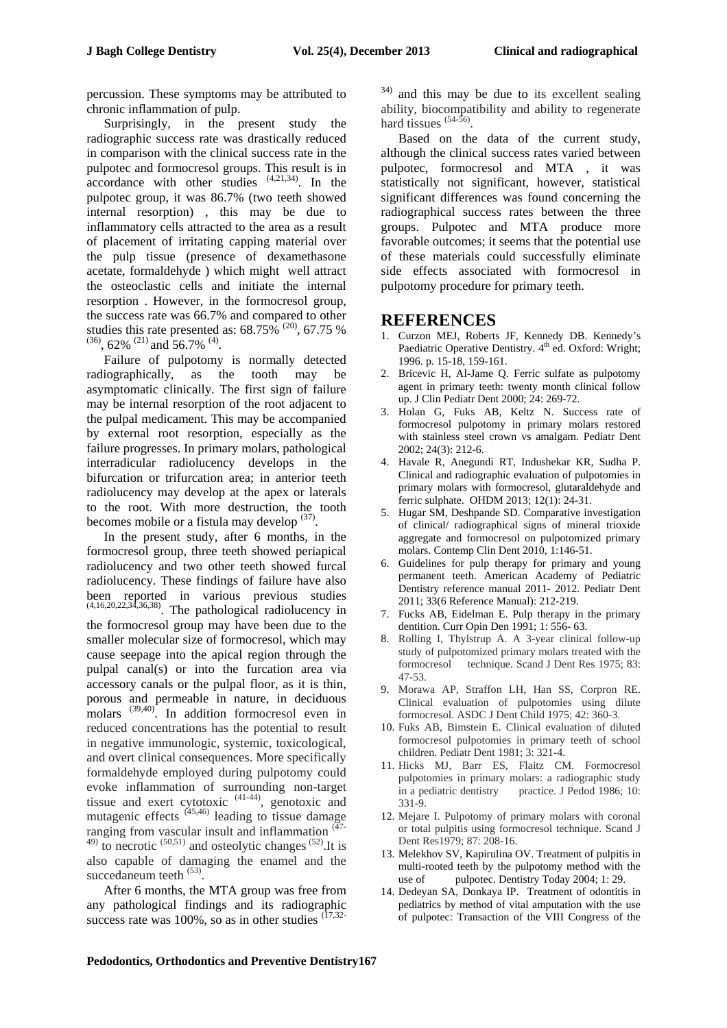percussion. These symptoms may be attributed to chronic inflammation of pulp.

Surprisingly, in the present study the radiographic success rate was drastically reduced in comparison with the clinical success rate in the pulpotec and formocresol groups. This result is in  $\arccor$  dance with other studies  $(4,21,34)$ . In the pulpotec group, it was 86.7% (two teeth showed internal resorption) , this may be due to inflammatory cells attracted to the area as a result of placement of irritating capping material over the pulp tissue (presence of dexamethasone acetate, formaldehyde ) which might well attract the osteoclastic cells and initiate the internal resorption . However, in the formocresol group, the success rate was 66.7% and compared to other studies this rate presented as:  $68.75\%$ <sup>(20)</sup>,  $67.75\%$  $^{(36)}$ , 62%  $^{(21)}$  and 56.7%  $^{(4)}$ .

Failure of pulpotomy is normally detected radiographically, as the tooth may be asymptomatic clinically. The first sign of failure may be internal resorption of the root adjacent to the pulpal medicament. This may be accompanied by external root resorption, especially as the failure progresses. In primary molars, pathological interradicular radiolucency develops in the bifurcation or trifurcation area; in anterior teeth radiolucency may develop at the apex or laterals to the root. With more destruction, the tooth becomes mobile or a fistula may develop  $(37)$ .

In the present study, after 6 months, in the formocresol group, three teeth showed periapical radiolucency and two other teeth showed furcal radiolucency. These findings of failure have also been reported in various previous studies  $(4,16,20,22,34,36,38)$ . The pathological radiolucency in the formocresol group may have been due to the smaller molecular size of formocresol, which may cause seepage into the apical region through the pulpal canal(s) or into the furcation area via accessory canals or the pulpal floor, as it is thin, porous and permeable in nature, in deciduous molars  $^{(39,40)}$ . In addition formocresol even in reduced concentrations has the potential to result in negative immunologic, systemic, toxicological, and overt clinical consequences. More specifically formaldehyde employed during pulpotomy could evoke inflammation of surrounding non-target tissue and exert cytotoxic  $(41-44)$ , genotoxic and mutagenic effects  $(45,46)$  leading to tissue damage ranging from vascular insult and inflammation  $(47 ^{(49)}$  to necrotic  $^{(50,51)}$  and osteolytic changes  $^{(52)}$ . It is also capable of damaging the enamel and the succedaneum teeth  $(53)$ .

After 6 months, the MTA group was free from any pathological findings and its radiographic success rate was 100%, so as in other studies  $(17,32)$ 

<sup>34)</sup> and this may be due to its excellent sealing ability, biocompatibility and ability to regenerate hard tissues  $(54-56)$ .

Based on the data of the current study, although the clinical success rates varied between pulpotec, formocresol and MTA , it was statistically not significant, however, statistical significant differences was found concerning the radiographical success rates between the three groups. Pulpotec and MTA produce more favorable outcomes; it seems that the potential use of these materials could successfully eliminate side effects associated with formocresol in pulpotomy procedure for primary teeth.

## **REFERENCES**

- 1. Curzon MEJ, Roberts JF, Kennedy DB. Kennedy's Paediatric Operative Dentistry. 4<sup>th</sup> ed. Oxford: Wright; 1996. p. 15-18, 159-161.
- 2. Bricevic H, Al-Jame Q. Ferric sulfate as pulpotomy agent in primary teeth: twenty month clinical follow up. J Clin Pediatr Dent 2000; 24: 269-72.
- 3. Holan G, Fuks AB, Keltz N. Success rate of formocresol pulpotomy in primary molars restored with stainless steel crown vs amalgam. Pediatr Dent 2002; 24(3): 212-6.
- 4. Havale R, Anegundi RT, Indushekar KR, Sudha P. Clinical and radiographic evaluation of pulpotomies in primary molars with formocresol, glutaraldehyde and ferric sulphate. OHDM 2013; 12(1): 24-31.
- 5. Hugar SM, Deshpande SD. Comparative investigation of clinical/ radiographical signs of mineral trioxide aggregate and formocresol on pulpotomized primary molars. Contemp Clin Dent 2010, 1:146-51.
- 6. Guidelines for pulp therapy for primary and young permanent teeth. American Academy of Pediatric Dentistry reference manual 2011- 2012. Pediatr Dent 2011; 33(6 Reference Manual): 212-219.
- 7. Fucks AB, Eidelman E. Pulp therapy in the primary dentition. Curr Opin Den 1991; 1: 556- 63.
- 8. Rolling I, Thylstrup A. A 3-year clinical follow-up study of pulpotomized primary molars treated with the formocresol technique. Scand J Dent Res 1975; 83: 47-53.
- 9. Morawa AP, Straffon LH, Han SS, Corpron RE. Clinical evaluation of pulpotomies using dilute formocresol. ASDC J Dent Child 1975; 42: 360-3.
- 10. Fuks AB, Bimstein E. Clinical evaluation of diluted formocresol pulpotomies in primary teeth of school children. Pediatr Dent 1981; 3: 321-4.
- 11. Hicks MJ, Barr ES, Flaitz CM. Formocresol pulpotomies in primary molars: a radiographic study in a pediatric dentistry practice. J Pedod 1986; 10: 331-9.
- 12. Mejare I. Pulpotomy of primary molars with coronal or total pulpitis using formocresol technique. Scand J Dent Res1979; 87: 208-16.
- 13. Melekhov SV, Kapirulina OV. Treatment of pulpitis in multi-rooted teeth by the pulpotomy method with the use of pulpotec. Dentistry Today 2004; 1: 29.
- 14. Dedeyan SA, Donkaya IP. Treatment of odontitis in pediatrics by method of vital amputation with the use of pulpotec: Transaction of the VIII Congress of the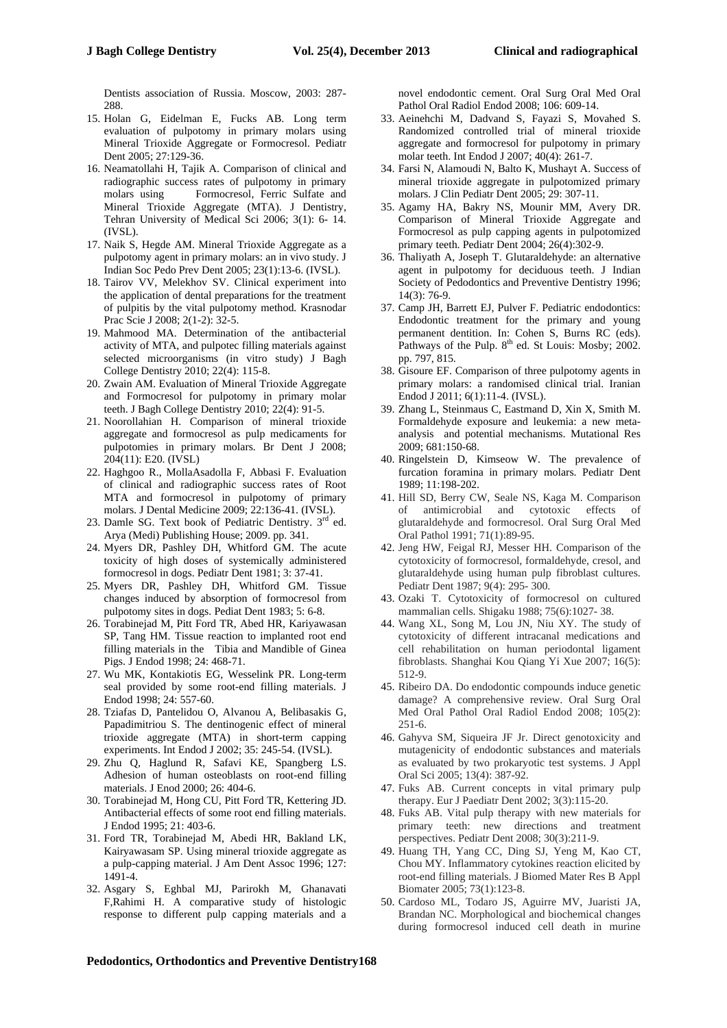Dentists association of Russia. Moscow, 2003: 287- 288

- 15. Holan G, Eidelman E, Fucks AB. Long term evaluation of pulpotomy in primary molars using Mineral Trioxide Aggregate or Formocresol. Pediatr Dent 2005; 27:129-36.
- 16. Neamatollahi H, Tajik A. Comparison of clinical and radiographic success rates of pulpotomy in primary molars using Formocresol, Ferric Sulfate and Mineral Trioxide Aggregate (MTA). J Dentistry, Tehran University of Medical Sci 2006; 3(1): 6- 14. (IVSL).
- 17. Naik S, Hegde AM. Mineral Trioxide Aggregate as a pulpotomy agent in primary molars: an in vivo study. J Indian Soc Pedo Prev Dent 2005; 23(1):13-6. (IVSL).
- 18. Tairov VV, Melekhov SV. Clinical experiment into the application of dental preparations for the treatment of pulpitis by the vital pulpotomy method. Krasnodar Prac Scie J 2008; 2(1-2): 32-5.
- 19. Mahmood MA. Determination of the antibacterial activity of MTA, and pulpotec filling materials against selected microorganisms (in vitro study) J Bagh College Dentistry 2010; 22(4): 115-8.
- 20. Zwain AM. Evaluation of Mineral Trioxide Aggregate and Formocresol for pulpotomy in primary molar teeth. J Bagh College Dentistry 2010; 22(4): 91-5.
- 21. Noorollahian H. Comparison of mineral trioxide aggregate and formocresol as pulp medicaments for pulpotomies in primary molars. Br Dent J 2008; 204(11): E20. (IVSL)
- 22. Haghgoo R., MollaAsadolla F, Abbasi F. Evaluation of clinical and radiographic success rates of Root MTA and formocresol in pulpotomy of primary molars. J Dental Medicine 2009; 22:136-41. (IVSL).
- 23. Damle SG. Text book of Pediatric Dentistry. 3rd ed. Arya (Medi) Publishing House; 2009. pp. 341.
- 24. Myers DR, Pashley DH, Whitford GM. The acute toxicity of high doses of systemically administered formocresol in dogs. Pediatr Dent 1981; 3: 37-41.
- 25. Myers DR, Pashley DH, Whitford GM. Tissue changes induced by absorption of formocresol from pulpotomy sites in dogs. Pediat Dent 1983; 5: 6-8.
- 26. Torabinejad M, Pitt Ford TR, Abed HR, Kariyawasan SP, Tang HM. Tissue reaction to implanted root end filling materials in the Tibia and Mandible of Ginea Pigs. J Endod 1998; 24: 468-71.
- 27. Wu MK, Kontakiotis EG, Wesselink PR. Long-term seal provided by some root-end filling materials. J Endod 1998; 24: 557-60.
- 28. Tziafas D, Pantelidou O, Alvanou A, Belibasakis G, Papadimitriou S. The dentinogenic effect of mineral trioxide aggregate (MTA) in short-term capping experiments. Int Endod J 2002; 35: 245-54. (IVSL).
- 29. Zhu Q, Haglund R, Safavi KE, Spangberg LS. Adhesion of human osteoblasts on root-end filling materials. J Enod 2000; 26: 404-6.
- 30. Torabinejad M, Hong CU, Pitt Ford TR, Kettering JD. Antibacterial effects of some root end filling materials. J Endod 1995; 21: 403-6.
- 31. Ford TR, Torabinejad M, Abedi HR, Bakland LK, Kairyawasam SP. Using mineral trioxide aggregate as a pulp-capping material. J Am Dent Assoc 1996; 127: 1491-4.
- 32. Asgary S, Eghbal MJ, Parirokh M, Ghanavati F,Rahimi H. A comparative study of histologic response to different pulp capping materials and a

novel endodontic cement. Oral Surg Oral Med Oral Pathol Oral Radiol Endod 2008; 106: 609-14.

- 33. Aeinehchi M, Dadvand S, Fayazi S, Movahed S. Randomized controlled trial of mineral trioxide aggregate and formocresol for pulpotomy in primary molar teeth. Int Endod J 2007; 40(4): 261-7.
- 34. Farsi N, Alamoudi N, Balto K, Mushayt A. Success of mineral trioxide aggregate in pulpotomized primary molars. J Clin Pediatr Dent 2005; 29: 307-11.
- 35. Agamy HA, Bakry NS, Mounir MM, Avery DR. Comparison of Mineral Trioxide Aggregate and Formocresol as pulp capping agents in pulpotomized primary teeth. Pediatr Dent 2004; 26(4):302-9.
- 36. Thaliyath A, Joseph T. Glutaraldehyde: an alternative agent in pulpotomy for deciduous teeth. J Indian Society of Pedodontics and Preventive Dentistry 1996; 14(3): 76-9.
- 37. Camp JH, Barrett EJ, Pulver F. Pediatric endodontics: Endodontic treatment for the primary and young permanent dentition. In: Cohen S, Burns RC (eds). Pathways of the Pulp.  $8<sup>th</sup>$  ed. St Louis: Mosby; 2002. pp. 797, 815.
- 38. Gisoure EF. Comparison of three pulpotomy agents in primary molars: a randomised clinical trial. Iranian Endod J 2011; 6(1):11-4. (IVSL).
- 39. Zhang L, Steinmaus C, Eastmand D, Xin X, Smith M. Formaldehyde exposure and leukemia: a new metaanalysis and potential mechanisms. Mutational Res 2009; 681:150-68.
- 40. Ringelstein D, Kimseow W. The prevalence of furcation foramina in primary molars. Pediatr Dent 1989; 11:198-202.
- 41. Hill SD, Berry CW, Seale NS, Kaga M. Comparison of antimicrobial and cytotoxic effects of glutaraldehyde and formocresol. Oral Surg Oral Med Oral Pathol 1991; 71(1):89-95.
- 42. Jeng HW, Feigal RJ, Messer HH. Comparison of the cytotoxicity of formocresol, formaldehyde, cresol, and glutaraldehyde using human pulp fibroblast cultures. Pediatr Dent 1987; 9(4): 295- 300.
- 43. Ozaki T. Cytotoxicity of formocresol on cultured mammalian cells. Shigaku 1988; 75(6):1027- 38.
- 44. Wang XL, Song M, Lou JN, Niu XY. The study of cytotoxicity of different intracanal medications and cell rehabilitation on human periodontal ligament fibroblasts. Shanghai Kou Qiang Yi Xue 2007; 16(5): 512-9.
- 45. Ribeiro DA. Do endodontic compounds induce genetic damage? A comprehensive review. Oral Surg Oral Med Oral Pathol Oral Radiol Endod 2008; 105(2): 251-6.
- 46. Gahyva SM, Siqueira JF Jr. Direct genotoxicity and mutagenicity of endodontic substances and materials as evaluated by two prokaryotic test systems. J Appl Oral Sci 2005; 13(4): 387-92.
- 47. Fuks AB. Current concepts in vital primary pulp therapy. Eur J Paediatr Dent 2002; 3(3):115-20.
- 48. Fuks AB. Vital pulp therapy with new materials for primary teeth: new directions and treatment perspectives. Pediatr Dent 2008; 30(3):211-9.
- 49. Huang TH, Yang CC, Ding SJ, Yeng M, Kao CT, Chou MY. Inflammatory cytokines reaction elicited by root-end filling materials. J Biomed Mater Res B Appl Biomater 2005; 73(1):123-8.
- 50. Cardoso ML, Todaro JS, Aguirre MV, Juaristi JA, Brandan NC. Morphological and biochemical changes during formocresol induced cell death in murine

#### **Pedodontics, Orthodontics and Preventive Dentistry168**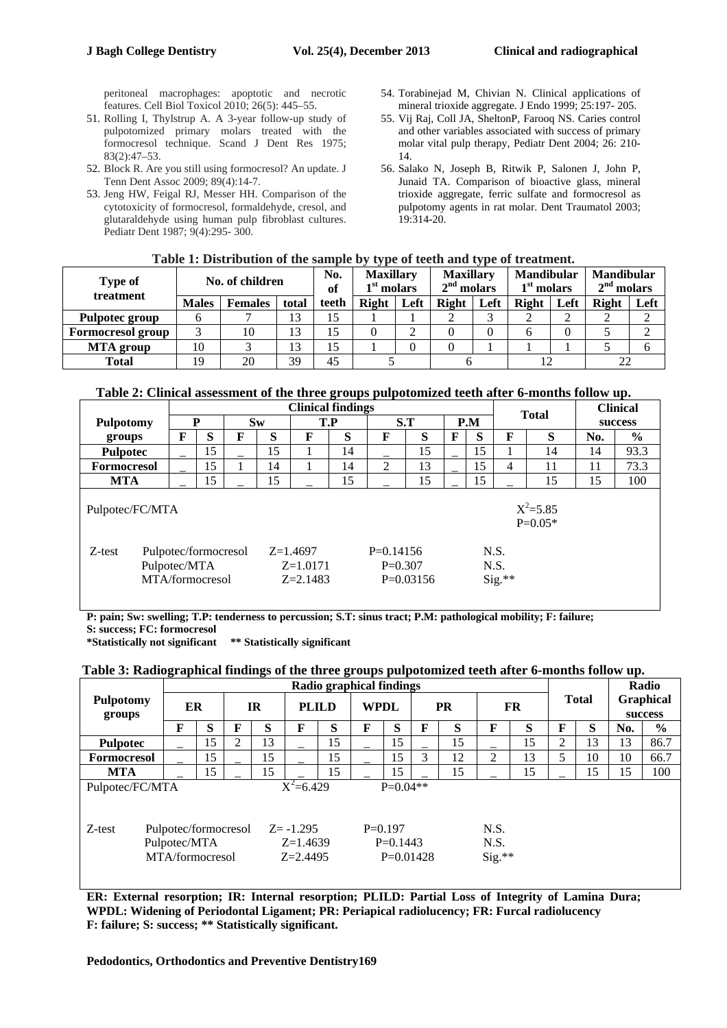peritoneal macrophages: apoptotic and necrotic features. Cell Biol Toxicol 2010; 26(5): 445–55.

- 51. Rolling I, Thylstrup A. A 3-year follow-up study of pulpotomized primary molars treated with the formocresol technique. Scand J Dent Res 1975; 83(2):47–53.
- 52. Block R. Are you still using formocresol? An update. J Tenn Dent Assoc 2009; 89(4):14-7.
- 53. Jeng HW, Feigal RJ, Messer HH. Comparison of the cytotoxicity of formocresol, formaldehyde, cresol, and glutaraldehyde using human pulp fibroblast cultures. Pediatr Dent 1987; 9(4):295- 300.
- 54. Torabinejad M, Chivian N. Clinical applications of mineral trioxide aggregate. J Endo 1999; 25:197- 205.
- 55. Vij Raj, Coll JA, SheltonP, Farooq NS. Caries control and other variables associated with success of primary molar vital pulp therapy, Pediatr Dent 2004; 26: 210- 14.
- 56. Salako N, Joseph B, Ritwik P, Salonen J, John P, Junaid TA. Comparison of bioactive glass, mineral trioxide aggregate, ferric sulfate and formocresol as pulpotomy agents in rat molar. Dent Traumatol 2003; 19:314-20.

#### **Table 1: Distribution of the sample by type of teeth and type of treatment.**

| <b>Type of</b><br>treatment |              | No. of children | No.<br>of | <b>Maxillary</b><br>1 <sup>st</sup> molars |       | <b>Maxillary</b><br>$2nd$ molars |       | <b>Mandibular</b><br>$1st$ molars |              | <b>Mandibular</b><br>$2nd$ molars |              |      |
|-----------------------------|--------------|-----------------|-----------|--------------------------------------------|-------|----------------------------------|-------|-----------------------------------|--------------|-----------------------------------|--------------|------|
|                             | <b>Males</b> | <b>Females</b>  | total     | teeth                                      | Right | Left                             | Right | Left                              | <b>Right</b> | Left                              | <b>Right</b> | Left |
| <b>Pulpotec group</b>       |              |                 | 13        | 15                                         |       |                                  |       |                                   |              |                                   |              |      |
| <b>Formocresol group</b>    |              | 10              | 13        | 15                                         |       |                                  |       |                                   |              |                                   |              |      |
| <b>MTA</b> group            | 10           |                 | 13        | 15                                         |       |                                  |       |                                   |              |                                   |              |      |
| <b>Total</b>                | 19           | 20              | 39        | 45                                         |       |                                  |       |                                   |              |                                   | 22           |      |

#### **Table 2: Clinical assessment of the three groups pulpotomized teeth after 6-months follow up.**

|                                              |                                                         | <b>Clinical findings</b> |   |     |                                        |     |                          |             |   |              |          |         | <b>Clinical</b> |      |
|----------------------------------------------|---------------------------------------------------------|--------------------------|---|-----|----------------------------------------|-----|--------------------------|-------------|---|--------------|----------|---------|-----------------|------|
| D<br><b>Pulpotomy</b>                        |                                                         | $S_{W}$                  |   | T.P |                                        | S.T |                          | P.M         |   | <b>Total</b> |          | success |                 |      |
| groups                                       | F                                                       | S                        | F | S   | F                                      | S   | F                        | S           | F | S            | F        | S       | No.             | $\%$ |
| <b>Pulpotec</b>                              |                                                         | 15                       |   | 15  |                                        | 14  |                          | 15          |   | 15           |          | 14      | 14              | 93.3 |
| <b>Formocresol</b>                           |                                                         | 15                       |   | 14  |                                        | 14  | $\overline{2}$           | 13          |   | 15           | 4        | 11      | 11              | 73.3 |
| <b>MTA</b>                                   |                                                         | 15                       |   |     |                                        | 15  |                          | 15          |   | 15           |          | 15      | 15              | 100  |
| $X^2 = 5.85$<br>Pulpotec/FC/MTA<br>$P=0.05*$ |                                                         |                          |   |     |                                        |     |                          |             |   |              |          |         |                 |      |
| Z-test                                       | Pulpotec/formocresol<br>Pulpotec/MTA<br>MTA/formocresol |                          |   |     | $Z=1.4697$<br>$Z=1.0171$<br>$Z=2.1483$ |     | $P=0.14156$<br>$P=0.307$ | $P=0.03156$ |   | N.S.<br>N.S. | $Sig.**$ |         |                 |      |

**P: pain; Sw: swelling; T.P: tenderness to percussion; S.T: sinus tract; P.M: pathological mobility; F: failure; S: success; FC: formocresol** 

**\*Statistically not significant \*\* Statistically significant** 

# **Table 3: Radiographical findings of the three groups pulpotomized teeth after 6-months follow up.**

|                                                |   |                                                         |   |           |                                          | Radio        |   |                                        |   |           |                          |    |                |              |     |                                    |  |
|------------------------------------------------|---|---------------------------------------------------------|---|-----------|------------------------------------------|--------------|---|----------------------------------------|---|-----------|--------------------------|----|----------------|--------------|-----|------------------------------------|--|
| <b>Pulpotomy</b><br>groups                     |   | ER                                                      |   | <b>IR</b> |                                          | <b>PLILD</b> |   | <b>WPDL</b>                            |   | <b>PR</b> |                          | FR |                | <b>Total</b> |     | <b>Graphical</b><br><b>success</b> |  |
|                                                | F | S                                                       | F | S         | F                                        | S            | F | S                                      | F | S         | F                        | S  | F              | S            | No. | $\frac{0}{0}$                      |  |
| <b>Pulpotec</b>                                |   | 15                                                      | 2 | 13        |                                          | 15           |   | 15                                     |   | 15        |                          | 15 | $\overline{2}$ | 13           | 13  | 86.7                               |  |
| <b>Formocresol</b>                             |   | 15                                                      |   | 15        |                                          | 15           |   | 15                                     | 3 | 12        | 2                        | 13 | 5              | 10           | 10  | 66.7                               |  |
| <b>MTA</b>                                     |   | 15                                                      |   | 15        |                                          | 15           |   | 15                                     |   | 15        |                          | 15 |                | 15           | 15  | 100                                |  |
| $X^2 = 6.429$<br>$P=0.04**$<br>Pulpotec/FC/MTA |   |                                                         |   |           |                                          |              |   |                                        |   |           |                          |    |                |              |     |                                    |  |
| $Z$ -test                                      |   | Pulpotec/formocresol<br>Pulpotec/MTA<br>MTA/formocresol |   |           | $Z = -1.295$<br>$Z=1.4639$<br>$Z=2.4495$ |              |   | $P=0.197$<br>$P=0.1443$<br>$P=0.01428$ |   |           | N.S.<br>N.S.<br>$Sig.**$ |    |                |              |     |                                    |  |

**ER: External resorption; IR: Internal resorption; PLILD: Partial Loss of Integrity of Lamina Dura; WPDL: Widening of Periodontal Ligament; PR: Periapical radiolucency; FR: Furcal radiolucency F: failure; S: success; \*\* Statistically significant.**